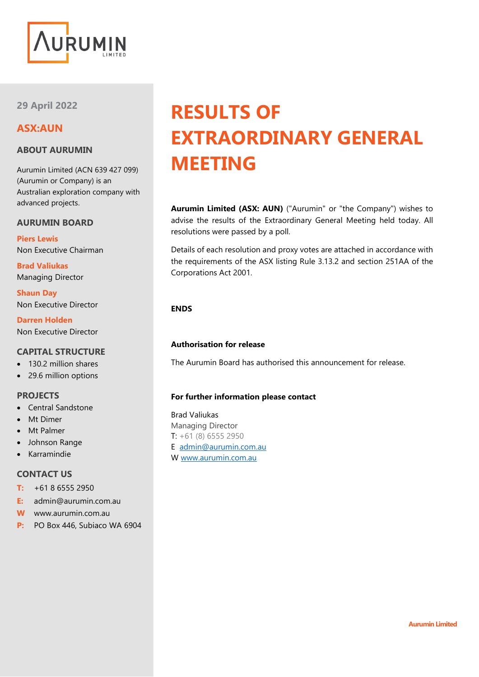

**29 April 2022**

# **ASX:AUN**

# **ABOUT AURUMIN**

Aurumin Limited (ACN 639 427 099) (Aurumin or Company) is an Australian exploration company with advanced projects.

## **AURUMIN BOARD**

**Piers Lewis** Non Executive Chairman

**Brad Valiukas** Managing Director

**Shaun Day** Non Executive Director

**Darren Holden** Non Executive Director

# **CAPITAL STRUCTURE**

- 130.2 million shares
- 29.6 million options

## **PROJECTS**

- Central Sandstone
- **Mt Dimer**
- Mt Palmer
- Johnson Range
- Karramindie

# **CONTACT US**

- **T:** +61 8 6555 2950
- **E:** admin@aurumin.com.au
- **W** www.aurumin.com.au
- **P:** PO Box 446, Subiaco WA 6904

# **RESULTS OF EXTRAORDINARY GENERAL MEETING**

**Aurumin Limited (ASX: AUN)** ("Aurumin" or "the Company") wishes to advise the results of the Extraordinary General Meeting held today. All resolutions were passed by a poll.

Details of each resolution and proxy votes are attached in accordance with the requirements of the ASX listing Rule 3.13.2 and section 251AA of the Corporations Act 2001.

## **ENDS**

## **Authorisation for release**

The Aurumin Board has authorised this announcement for release.

## **For further information please contact**

Brad Valiukas Managing Director  $T: +61(8) 6555 2950$ E [admin@aurumin.com.au](mailto:admin@aurumin.com.au) W [www.aurumin.com.au](http://www.aurumin.com.au/)